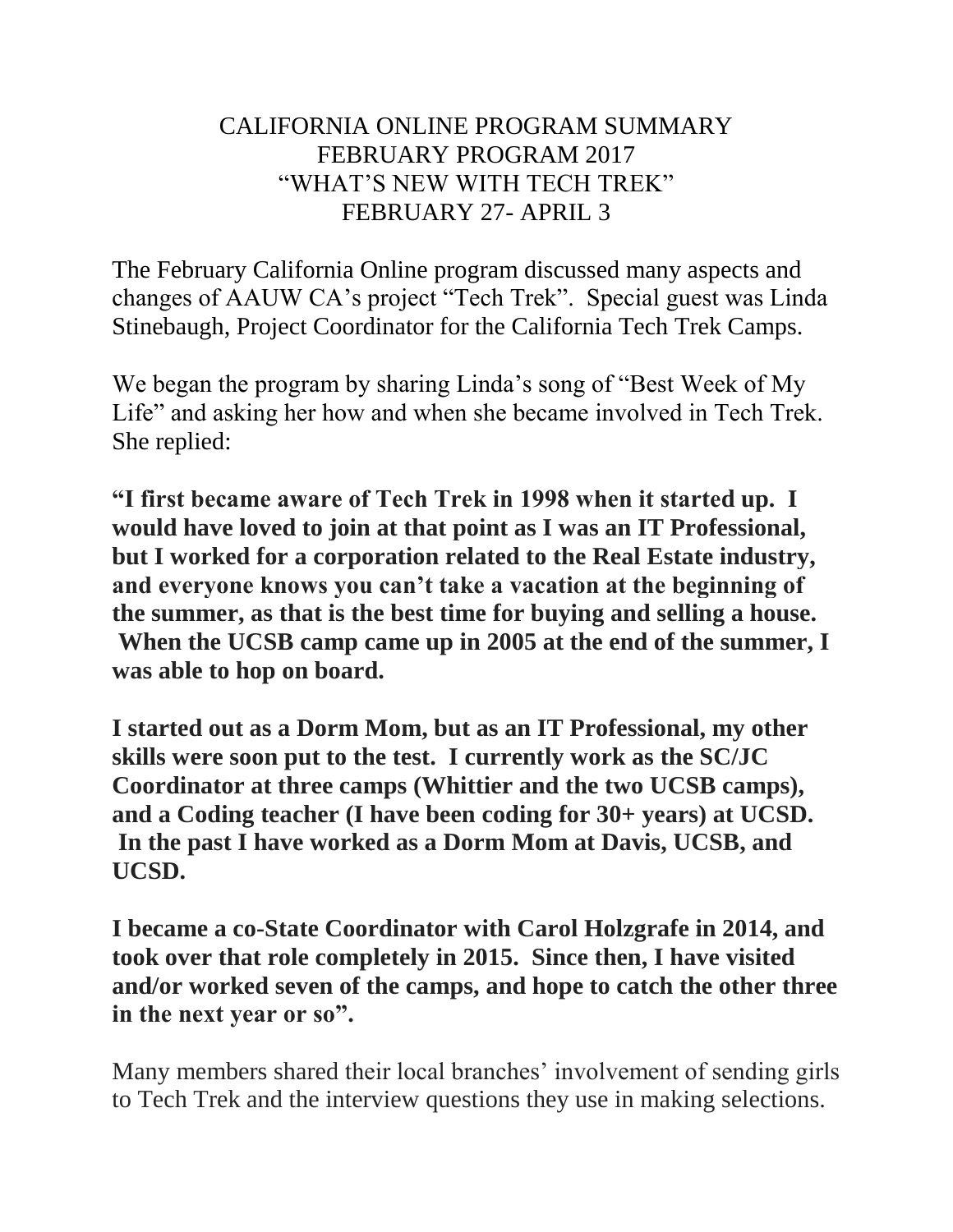## CALIFORNIA ONLINE PROGRAM SUMMARY FEBRUARY PROGRAM 2017 "WHAT'S NEW WITH TECH TREK" FEBRUARY 27- APRIL 3

The February California Online program discussed many aspects and changes of AAUW CA's project "Tech Trek". Special guest was Linda Stinebaugh, Project Coordinator for the California Tech Trek Camps.

We began the program by sharing Linda's song of "Best Week of My Life" and asking her how and when she became involved in Tech Trek. She replied:

**"I first became aware of Tech Trek in 1998 when it started up. I would have loved to join at that point as I was an IT Professional, but I worked for a corporation related to the Real Estate industry, and everyone knows you can't take a vacation at the beginning of the summer, as that is the best time for buying and selling a house. When the UCSB camp came up in 2005 at the end of the summer, I was able to hop on board.**

**I started out as a Dorm Mom, but as an IT Professional, my other skills were soon put to the test. I currently work as the SC/JC Coordinator at three camps (Whittier and the two UCSB camps), and a Coding teacher (I have been coding for 30+ years) at UCSD. In the past I have worked as a Dorm Mom at Davis, UCSB, and UCSD.**

**I became a co-State Coordinator with Carol Holzgrafe in 2014, and took over that role completely in 2015. Since then, I have visited and/or worked seven of the camps, and hope to catch the other three in the next year or so".**

Many members shared their local branches' involvement of sending girls to Tech Trek and the interview questions they use in making selections.